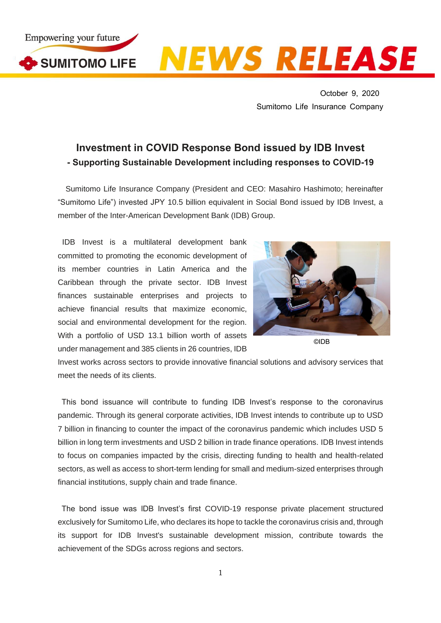

**NEWS RELEASE** 

October 9, 2020 Sumitomo Life Insurance Company

## **Investment in COVID Response Bond issued by IDB Invest - Supporting Sustainable Development including responses to COVID-19**

Sumitomo Life Insurance Company (President and CEO: Masahiro Hashimoto; hereinafter "Sumitomo Life") invested JPY 10.5 billion equivalent in Social Bond issued by IDB Invest, a member of the Inter-American Development Bank (IDB) Group.

IDB Invest is a multilateral development bank committed to promoting the economic development of its member countries in Latin America and the Caribbean through the private sector. IDB Invest finances sustainable enterprises and projects to achieve financial results that maximize economic, social and environmental development for the region. With a portfolio of USD 13.1 billion worth of assets under management and 385 clients in 26 countries, IDB



©IDB

Invest works across sectors to provide innovative financial solutions and advisory services that meet the needs of its clients.

This bond issuance will contribute to funding IDB Invest's response to the coronavirus pandemic. Through its general corporate activities, IDB Invest intends to contribute up to USD 7 billion in financing to counter the impact of the coronavirus pandemic which includes USD 5 billion in long term investments and USD 2 billion in trade finance operations. IDB Invest intends to focus on companies impacted by the crisis, directing funding to health and health-related sectors, as well as access to short-term lending for small and medium-sized enterprises through financial institutions, supply chain and trade finance.

The bond issue was IDB Invest's first COVID-19 response private placement structured exclusively for Sumitomo Life, who declares its hope to tackle the coronavirus crisis and, through its support for IDB Invest's sustainable development mission, contribute towards the achievement of the SDGs across regions and sectors.